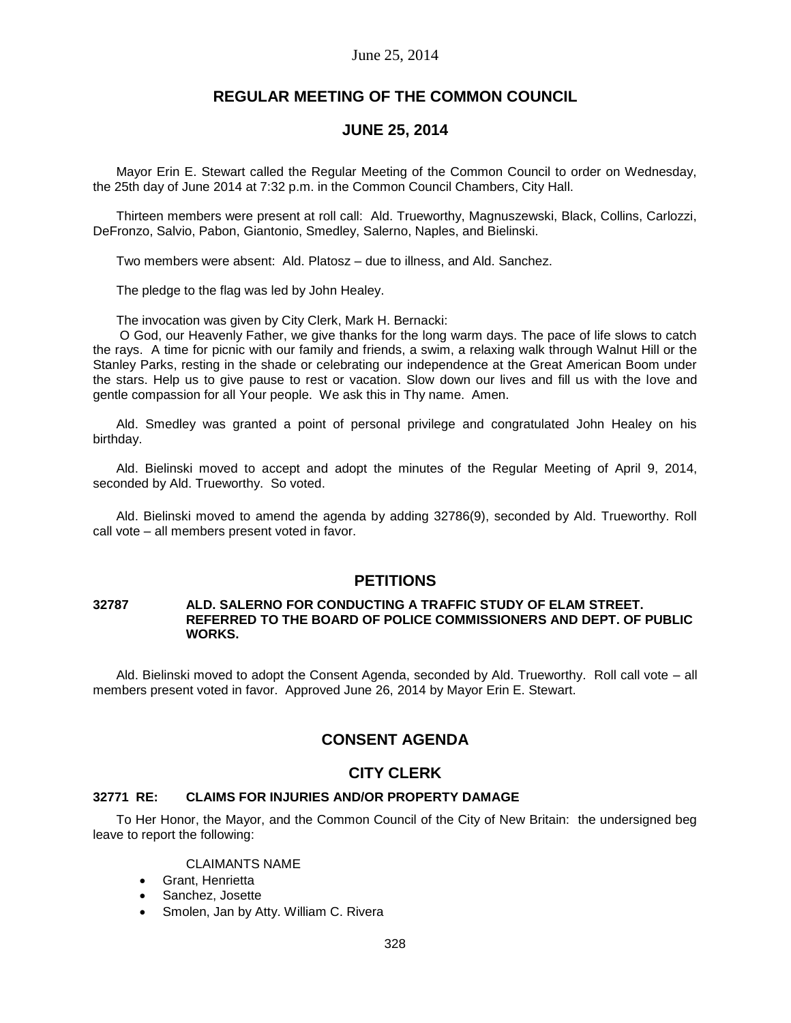# **REGULAR MEETING OF THE COMMON COUNCIL**

# **JUNE 25, 2014**

Mayor Erin E. Stewart called the Regular Meeting of the Common Council to order on Wednesday, the 25th day of June 2014 at 7:32 p.m. in the Common Council Chambers, City Hall.

Thirteen members were present at roll call: Ald. Trueworthy, Magnuszewski, Black, Collins, Carlozzi, DeFronzo, Salvio, Pabon, Giantonio, Smedley, Salerno, Naples, and Bielinski.

Two members were absent: Ald. Platosz – due to illness, and Ald. Sanchez.

The pledge to the flag was led by John Healey.

The invocation was given by City Clerk, Mark H. Bernacki:

O God, our Heavenly Father, we give thanks for the long warm days. The pace of life slows to catch the rays. A time for picnic with our family and friends, a swim, a relaxing walk through Walnut Hill or the Stanley Parks, resting in the shade or celebrating our independence at the Great American Boom under the stars. Help us to give pause to rest or vacation. Slow down our lives and fill us with the love and gentle compassion for all Your people. We ask this in Thy name. Amen.

Ald. Smedley was granted a point of personal privilege and congratulated John Healey on his birthday.

Ald. Bielinski moved to accept and adopt the minutes of the Regular Meeting of April 9, 2014, seconded by Ald. Trueworthy. So voted.

Ald. Bielinski moved to amend the agenda by adding 32786(9), seconded by Ald. Trueworthy. Roll call vote – all members present voted in favor.

# **PETITIONS**

### **32787 ALD. SALERNO FOR CONDUCTING A TRAFFIC STUDY OF ELAM STREET. REFERRED TO THE BOARD OF POLICE COMMISSIONERS AND DEPT. OF PUBLIC WORKS.**

Ald. Bielinski moved to adopt the Consent Agenda, seconded by Ald. Trueworthy. Roll call vote – all members present voted in favor. Approved June 26, 2014 by Mayor Erin E. Stewart.

# **CONSENT AGENDA**

# **CITY CLERK**

## **32771 RE: CLAIMS FOR INJURIES AND/OR PROPERTY DAMAGE**

To Her Honor, the Mayor, and the Common Council of the City of New Britain: the undersigned beg leave to report the following:

### CLAIMANTS NAME

- Grant, Henrietta
- Sanchez, Josette
- Smolen, Jan by Atty. William C. Rivera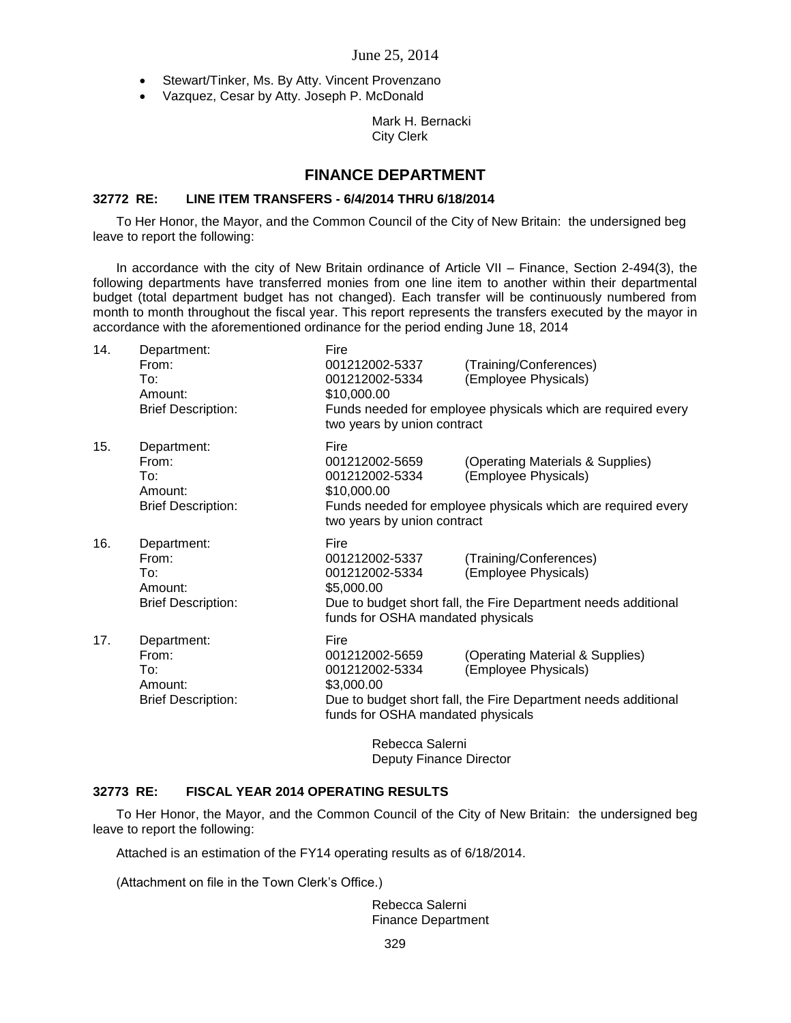- Stewart/Tinker, Ms. By Atty. Vincent Provenzano
- Vazquez, Cesar by Atty. Joseph P. McDonald

## Mark H. Bernacki City Clerk

# **FINANCE DEPARTMENT**

## **32772 RE: LINE ITEM TRANSFERS - 6/4/2014 THRU 6/18/2014**

To Her Honor, the Mayor, and the Common Council of the City of New Britain: the undersigned beg leave to report the following:

In accordance with the city of New Britain ordinance of Article VII – Finance, Section 2-494(3), the following departments have transferred monies from one line item to another within their departmental budget (total department budget has not changed). Each transfer will be continuously numbered from month to month throughout the fiscal year. This report represents the transfers executed by the mayor in accordance with the aforementioned ordinance for the period ending June 18, 2014

| 14. | Department:<br>From:      | Fire<br>001212002-5337                                                                              | (Training/Conferences)           |  |
|-----|---------------------------|-----------------------------------------------------------------------------------------------------|----------------------------------|--|
|     | To:                       | 001212002-5334                                                                                      | (Employee Physicals)             |  |
|     | Amount:                   | \$10,000.00                                                                                         |                                  |  |
|     | <b>Brief Description:</b> | Funds needed for employee physicals which are required every<br>two years by union contract         |                                  |  |
| 15. | Department:               | Fire                                                                                                |                                  |  |
|     | From:                     | 001212002-5659                                                                                      | (Operating Materials & Supplies) |  |
|     | To:<br>Amount:            | 001212002-5334<br>\$10,000.00                                                                       | (Employee Physicals)             |  |
|     | <b>Brief Description:</b> | Funds needed for employee physicals which are required every                                        |                                  |  |
|     |                           | two years by union contract                                                                         |                                  |  |
| 16. | Department:               | Fire                                                                                                |                                  |  |
|     | From:                     | 001212002-5337                                                                                      | (Training/Conferences)           |  |
|     | To∶<br>Amount:            | 001212002-5334<br>\$5,000.00                                                                        | (Employee Physicals)             |  |
|     | <b>Brief Description:</b> | Due to budget short fall, the Fire Department needs additional                                      |                                  |  |
|     |                           | funds for OSHA mandated physicals                                                                   |                                  |  |
| 17. | Department:               | Fire                                                                                                |                                  |  |
|     | From:                     | 001212002-5659                                                                                      | (Operating Material & Supplies)  |  |
|     | To:                       | 001212002-5334                                                                                      | (Employee Physicals)             |  |
|     | Amount:                   | \$3,000.00                                                                                          |                                  |  |
|     | <b>Brief Description:</b> | Due to budget short fall, the Fire Department needs additional<br>funds for OSHA mandated physicals |                                  |  |
|     |                           | Pohocca Salorni                                                                                     |                                  |  |

Rebecca Salerni Deputy Finance Director

## **32773 RE: FISCAL YEAR 2014 OPERATING RESULTS**

To Her Honor, the Mayor, and the Common Council of the City of New Britain: the undersigned beg leave to report the following:

Attached is an estimation of the FY14 operating results as of 6/18/2014.

(Attachment on file in the Town Clerk's Office.)

Rebecca Salerni Finance Department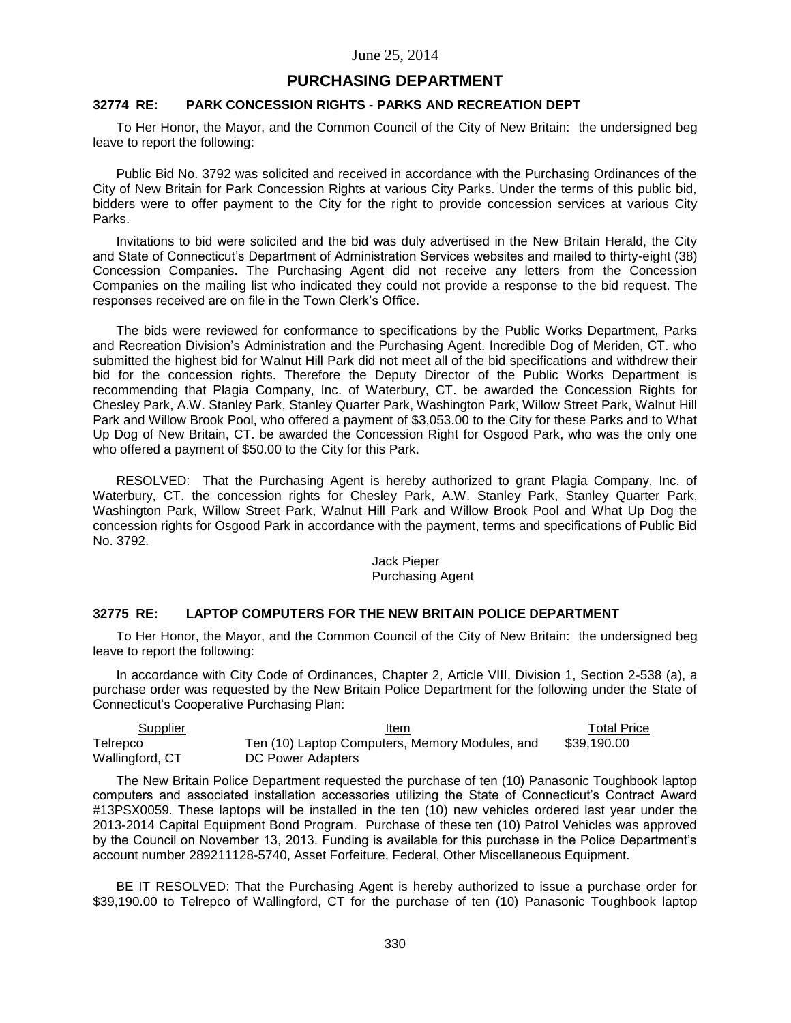# **PURCHASING DEPARTMENT**

### **32774 RE: PARK CONCESSION RIGHTS - PARKS AND RECREATION DEPT**

To Her Honor, the Mayor, and the Common Council of the City of New Britain: the undersigned beg leave to report the following:

Public Bid No. 3792 was solicited and received in accordance with the Purchasing Ordinances of the City of New Britain for Park Concession Rights at various City Parks. Under the terms of this public bid, bidders were to offer payment to the City for the right to provide concession services at various City Parks.

Invitations to bid were solicited and the bid was duly advertised in the New Britain Herald, the City and State of Connecticut's Department of Administration Services websites and mailed to thirty-eight (38) Concession Companies. The Purchasing Agent did not receive any letters from the Concession Companies on the mailing list who indicated they could not provide a response to the bid request. The responses received are on file in the Town Clerk's Office.

The bids were reviewed for conformance to specifications by the Public Works Department, Parks and Recreation Division's Administration and the Purchasing Agent. Incredible Dog of Meriden, CT. who submitted the highest bid for Walnut Hill Park did not meet all of the bid specifications and withdrew their bid for the concession rights. Therefore the Deputy Director of the Public Works Department is recommending that Plagia Company, Inc. of Waterbury, CT. be awarded the Concession Rights for Chesley Park, A.W. Stanley Park, Stanley Quarter Park, Washington Park, Willow Street Park, Walnut Hill Park and Willow Brook Pool, who offered a payment of \$3,053.00 to the City for these Parks and to What Up Dog of New Britain, CT. be awarded the Concession Right for Osgood Park, who was the only one who offered a payment of \$50.00 to the City for this Park.

RESOLVED: That the Purchasing Agent is hereby authorized to grant Plagia Company, Inc. of Waterbury, CT. the concession rights for Chesley Park, A.W. Stanley Park, Stanley Quarter Park, Washington Park, Willow Street Park, Walnut Hill Park and Willow Brook Pool and What Up Dog the concession rights for Osgood Park in accordance with the payment, terms and specifications of Public Bid No. 3792.

#### Jack Pieper Purchasing Agent

# **32775 RE: LAPTOP COMPUTERS FOR THE NEW BRITAIN POLICE DEPARTMENT**

To Her Honor, the Mayor, and the Common Council of the City of New Britain: the undersigned beg leave to report the following:

In accordance with City Code of Ordinances, Chapter 2, Article VIII, Division 1, Section 2-538 (a), a purchase order was requested by the New Britain Police Department for the following under the State of Connecticut's Cooperative Purchasing Plan:

| Supplier        | Item                                           | Total Price |
|-----------------|------------------------------------------------|-------------|
| Telrepco        | Ten (10) Laptop Computers, Memory Modules, and | \$39.190.00 |
| Wallingford, CT | DC Power Adapters                              |             |

The New Britain Police Department requested the purchase of ten (10) Panasonic Toughbook laptop computers and associated installation accessories utilizing the State of Connecticut's Contract Award #13PSX0059. These laptops will be installed in the ten (10) new vehicles ordered last year under the 2013-2014 Capital Equipment Bond Program. Purchase of these ten (10) Patrol Vehicles was approved by the Council on November 13, 2013. Funding is available for this purchase in the Police Department's account number 289211128-5740, Asset Forfeiture, Federal, Other Miscellaneous Equipment.

BE IT RESOLVED: That the Purchasing Agent is hereby authorized to issue a purchase order for \$39,190.00 to Telrepco of Wallingford, CT for the purchase of ten (10) Panasonic Toughbook laptop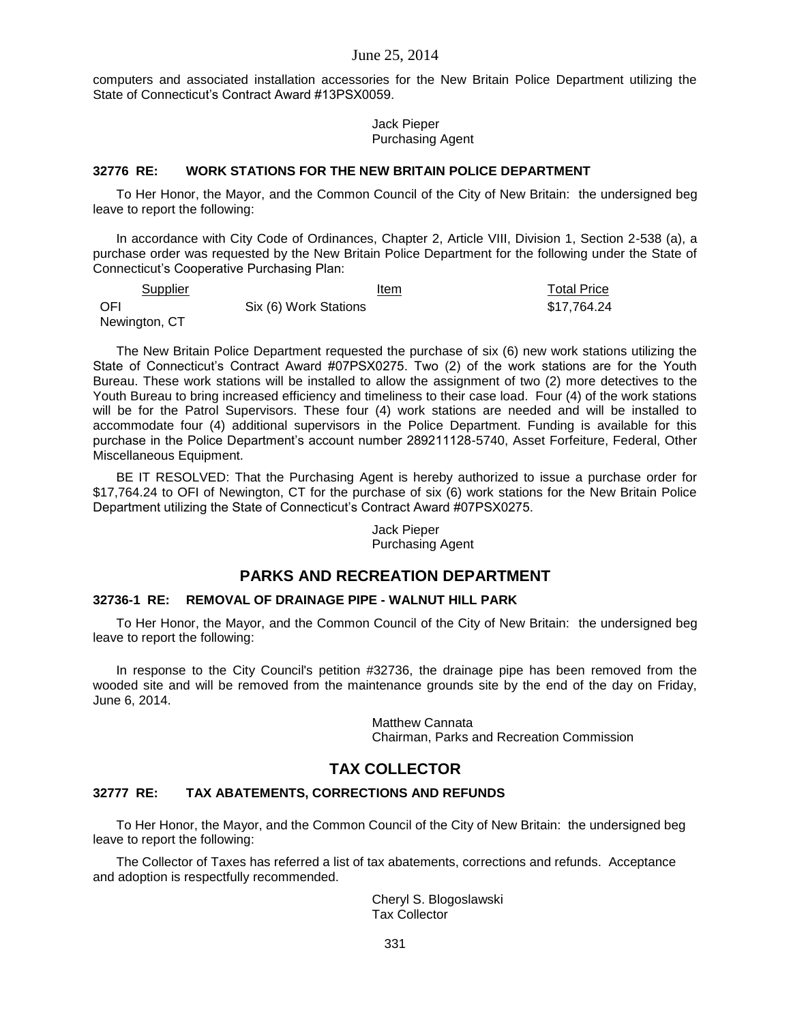computers and associated installation accessories for the New Britain Police Department utilizing the State of Connecticut's Contract Award #13PSX0059.

> Jack Pieper Purchasing Agent

# **32776 RE: WORK STATIONS FOR THE NEW BRITAIN POLICE DEPARTMENT**

To Her Honor, the Mayor, and the Common Council of the City of New Britain: the undersigned beg leave to report the following:

In accordance with City Code of Ordinances, Chapter 2, Article VIII, Division 1, Section 2-538 (a), a purchase order was requested by the New Britain Police Department for the following under the State of Connecticut's Cooperative Purchasing Plan:

| Supplier      | Item                  | <b>Total Price</b> |
|---------------|-----------------------|--------------------|
| <b>OFI</b>    | Six (6) Work Stations | \$17.764.24        |
| Newington, CT |                       |                    |

The New Britain Police Department requested the purchase of six (6) new work stations utilizing the State of Connecticut's Contract Award #07PSX0275. Two (2) of the work stations are for the Youth Bureau. These work stations will be installed to allow the assignment of two (2) more detectives to the Youth Bureau to bring increased efficiency and timeliness to their case load. Four (4) of the work stations will be for the Patrol Supervisors. These four (4) work stations are needed and will be installed to accommodate four (4) additional supervisors in the Police Department. Funding is available for this purchase in the Police Department's account number 289211128-5740, Asset Forfeiture, Federal, Other Miscellaneous Equipment.

BE IT RESOLVED: That the Purchasing Agent is hereby authorized to issue a purchase order for \$17,764.24 to OFI of Newington, CT for the purchase of six (6) work stations for the New Britain Police Department utilizing the State of Connecticut's Contract Award #07PSX0275.

> Jack Pieper Purchasing Agent

# **PARKS AND RECREATION DEPARTMENT**

### **32736-1 RE: REMOVAL OF DRAINAGE PIPE - WALNUT HILL PARK**

To Her Honor, the Mayor, and the Common Council of the City of New Britain: the undersigned beg leave to report the following:

In response to the City Council's petition #32736, the drainage pipe has been removed from the wooded site and will be removed from the maintenance grounds site by the end of the day on Friday, June 6, 2014.

> Matthew Cannata Chairman, Parks and Recreation Commission

# **TAX COLLECTOR**

### **32777 RE: TAX ABATEMENTS, CORRECTIONS AND REFUNDS**

To Her Honor, the Mayor, and the Common Council of the City of New Britain: the undersigned beg leave to report the following:

The Collector of Taxes has referred a list of tax abatements, corrections and refunds. Acceptance and adoption is respectfully recommended.

> Cheryl S. Blogoslawski Tax Collector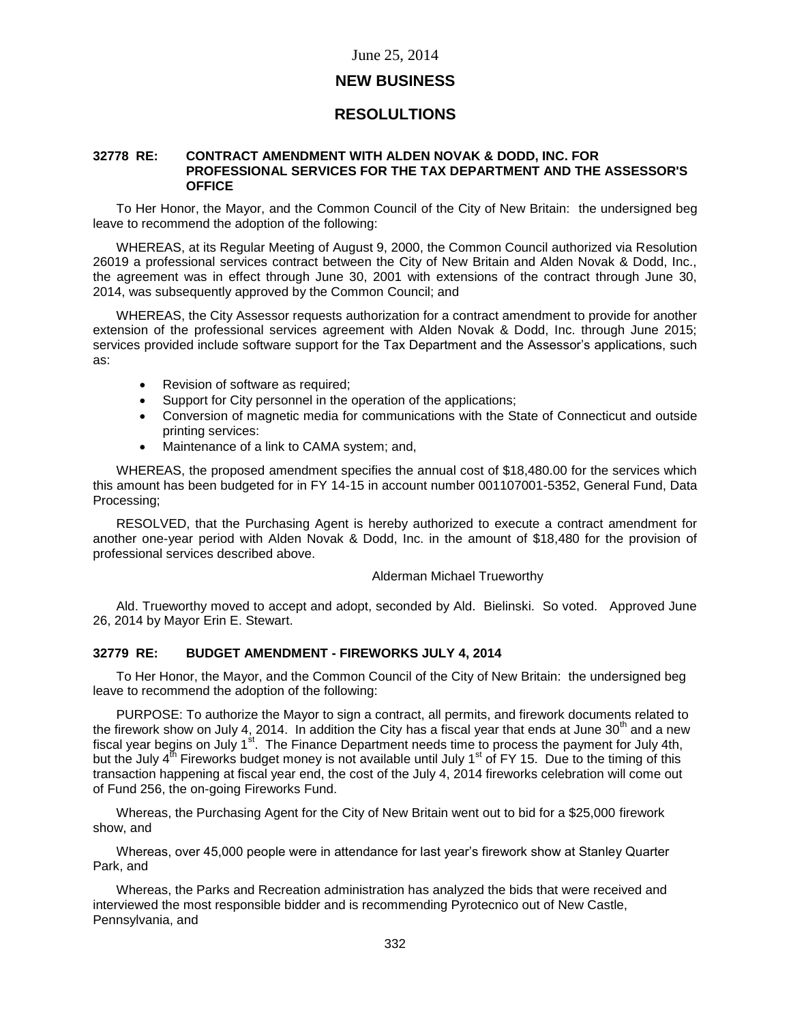# **NEW BUSINESS**

# **RESOLULTIONS**

#### **32778 RE: CONTRACT AMENDMENT WITH ALDEN NOVAK & DODD, INC. FOR PROFESSIONAL SERVICES FOR THE TAX DEPARTMENT AND THE ASSESSOR'S OFFICE**

To Her Honor, the Mayor, and the Common Council of the City of New Britain: the undersigned beg leave to recommend the adoption of the following:

WHEREAS, at its Regular Meeting of August 9, 2000, the Common Council authorized via Resolution 26019 a professional services contract between the City of New Britain and Alden Novak & Dodd, Inc., the agreement was in effect through June 30, 2001 with extensions of the contract through June 30, 2014, was subsequently approved by the Common Council; and

WHEREAS, the City Assessor requests authorization for a contract amendment to provide for another extension of the professional services agreement with Alden Novak & Dodd, Inc. through June 2015; services provided include software support for the Tax Department and the Assessor's applications, such as:

- Revision of software as required;
- Support for City personnel in the operation of the applications;
- Conversion of magnetic media for communications with the State of Connecticut and outside printing services:
- Maintenance of a link to CAMA system; and,

WHEREAS, the proposed amendment specifies the annual cost of \$18,480.00 for the services which this amount has been budgeted for in FY 14-15 in account number 001107001-5352, General Fund, Data Processing;

RESOLVED, that the Purchasing Agent is hereby authorized to execute a contract amendment for another one-year period with Alden Novak & Dodd, Inc. in the amount of \$18,480 for the provision of professional services described above.

#### Alderman Michael Trueworthy

Ald. Trueworthy moved to accept and adopt, seconded by Ald. Bielinski. So voted. Approved June 26, 2014 by Mayor Erin E. Stewart.

## **32779 RE: BUDGET AMENDMENT - FIREWORKS JULY 4, 2014**

To Her Honor, the Mayor, and the Common Council of the City of New Britain: the undersigned beg leave to recommend the adoption of the following:

PURPOSE: To authorize the Mayor to sign a contract, all permits, and firework documents related to the firework show on July 4, 2014. In addition the City has a fiscal year that ends at June 30<sup>th</sup> and a new fiscal year begins on July 1<sup>st</sup>. The Finance Department needs time to process the payment for July 4th, but the July  $4^{th}$  Fireworks budget money is not available until July 1<sup>st</sup> of FY 15. Due to the timing of this transaction happening at fiscal year end, the cost of the July 4, 2014 fireworks celebration will come out of Fund 256, the on-going Fireworks Fund.

Whereas, the Purchasing Agent for the City of New Britain went out to bid for a \$25,000 firework show, and

Whereas, over 45,000 people were in attendance for last year's firework show at Stanley Quarter Park, and

Whereas, the Parks and Recreation administration has analyzed the bids that were received and interviewed the most responsible bidder and is recommending Pyrotecnico out of New Castle, Pennsylvania, and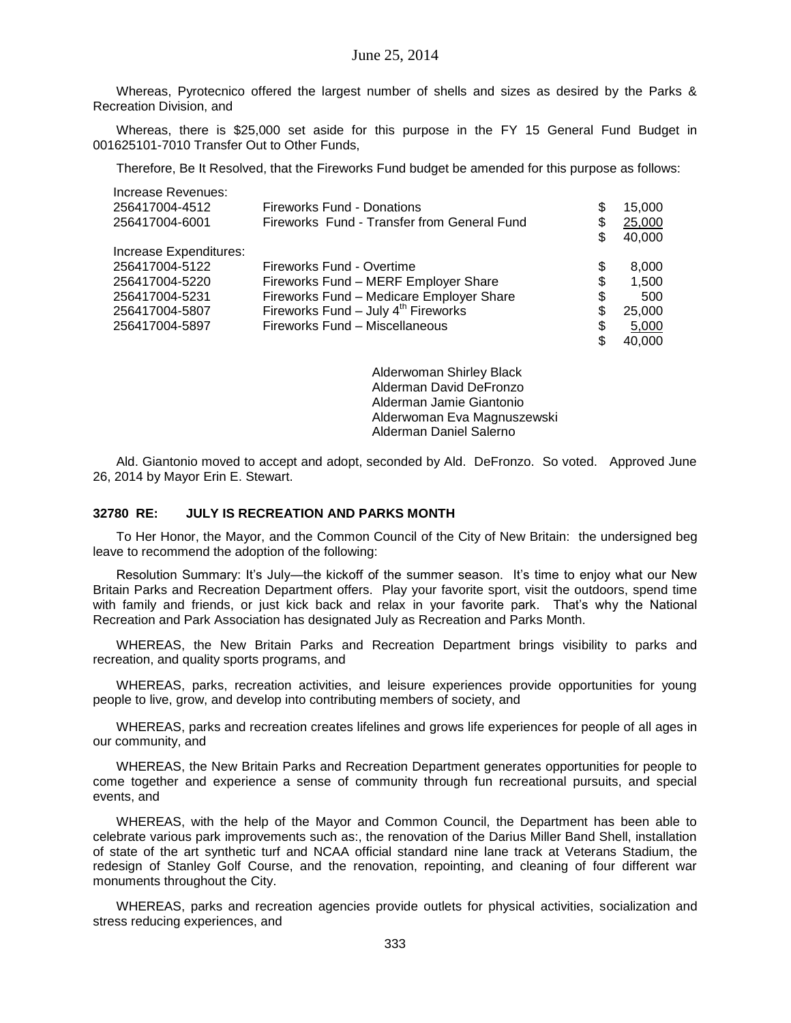Whereas, Pyrotecnico offered the largest number of shells and sizes as desired by the Parks & Recreation Division, and

Whereas, there is \$25,000 set aside for this purpose in the FY 15 General Fund Budget in 001625101-7010 Transfer Out to Other Funds,

Therefore, Be It Resolved, that the Fireworks Fund budget be amended for this purpose as follows:

| Increase Revenues:     |                                             |              |
|------------------------|---------------------------------------------|--------------|
| 256417004-4512         | <b>Fireworks Fund - Donations</b>           | \$<br>15,000 |
| 256417004-6001         | Fireworks Fund - Transfer from General Fund | \$<br>25,000 |
|                        |                                             | \$<br>40,000 |
| Increase Expenditures: |                                             |              |
| 256417004-5122         | Fireworks Fund - Overtime                   | \$<br>8,000  |
| 256417004-5220         | Fireworks Fund - MERF Employer Share        | \$<br>1.500  |
| 256417004-5231         | Fireworks Fund - Medicare Employer Share    | \$<br>500    |
| 256417004-5807         | Fireworks Fund $-$ July $4th$ Fireworks     | \$<br>25,000 |
| 256417004-5897         | Fireworks Fund - Miscellaneous              | \$<br>5,000  |
|                        |                                             | \$<br>40.000 |

Alderwoman Shirley Black Alderman David DeFronzo Alderman Jamie Giantonio Alderwoman Eva Magnuszewski Alderman Daniel Salerno

Ald. Giantonio moved to accept and adopt, seconded by Ald. DeFronzo. So voted. Approved June 26, 2014 by Mayor Erin E. Stewart.

### **32780 RE: JULY IS RECREATION AND PARKS MONTH**

To Her Honor, the Mayor, and the Common Council of the City of New Britain: the undersigned beg leave to recommend the adoption of the following:

Resolution Summary: It's July—the kickoff of the summer season. It's time to enjoy what our New Britain Parks and Recreation Department offers. Play your favorite sport, visit the outdoors, spend time with family and friends, or just kick back and relax in your favorite park. That's why the National Recreation and Park Association has designated July as Recreation and Parks Month.

WHEREAS, the New Britain Parks and Recreation Department brings visibility to parks and recreation, and quality sports programs, and

WHEREAS, parks, recreation activities, and leisure experiences provide opportunities for young people to live, grow, and develop into contributing members of society, and

WHEREAS, parks and recreation creates lifelines and grows life experiences for people of all ages in our community, and

WHEREAS, the New Britain Parks and Recreation Department generates opportunities for people to come together and experience a sense of community through fun recreational pursuits, and special events, and

WHEREAS, with the help of the Mayor and Common Council, the Department has been able to celebrate various park improvements such as:, the renovation of the Darius Miller Band Shell, installation of state of the art synthetic turf and NCAA official standard nine lane track at Veterans Stadium, the redesign of Stanley Golf Course, and the renovation, repointing, and cleaning of four different war monuments throughout the City.

WHEREAS, parks and recreation agencies provide outlets for physical activities, socialization and stress reducing experiences, and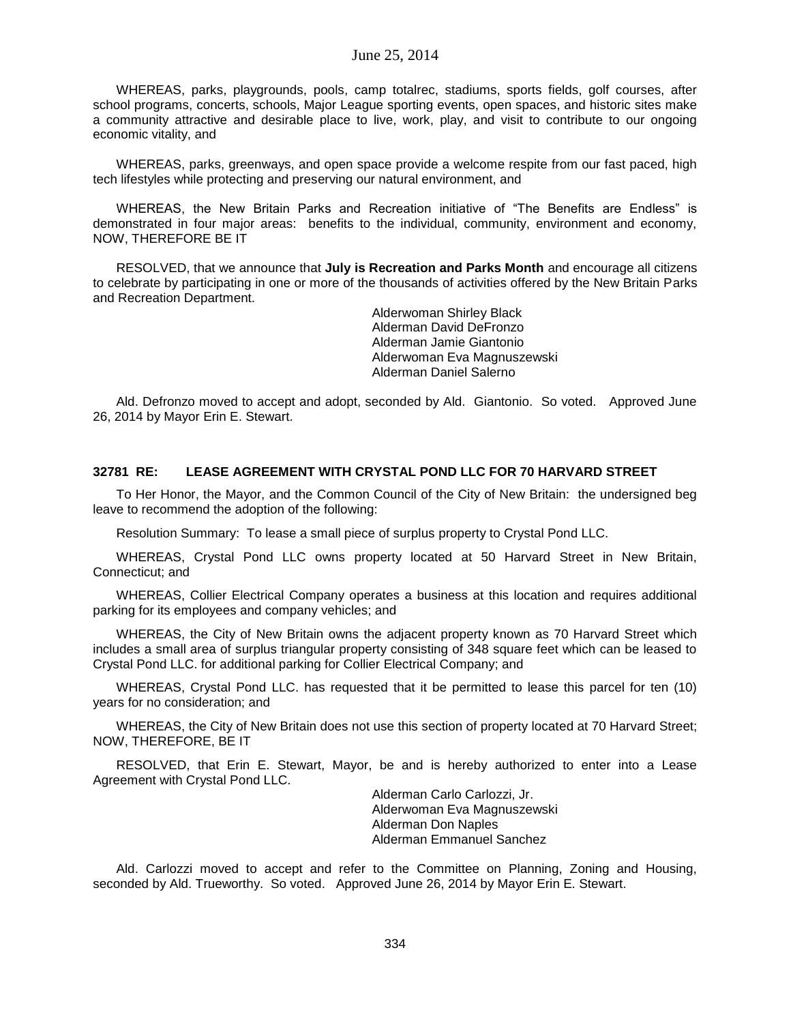WHEREAS, parks, playgrounds, pools, camp totalrec, stadiums, sports fields, golf courses, after school programs, concerts, schools, Major League sporting events, open spaces, and historic sites make a community attractive and desirable place to live, work, play, and visit to contribute to our ongoing economic vitality, and

WHEREAS, parks, greenways, and open space provide a welcome respite from our fast paced, high tech lifestyles while protecting and preserving our natural environment, and

WHEREAS, the New Britain Parks and Recreation initiative of "The Benefits are Endless" is demonstrated in four major areas: benefits to the individual, community, environment and economy, NOW, THEREFORE BE IT

RESOLVED, that we announce that **July is Recreation and Parks Month** and encourage all citizens to celebrate by participating in one or more of the thousands of activities offered by the New Britain Parks and Recreation Department.

> Alderwoman Shirley Black Alderman David DeFronzo Alderman Jamie Giantonio Alderwoman Eva Magnuszewski Alderman Daniel Salerno

Ald. Defronzo moved to accept and adopt, seconded by Ald. Giantonio. So voted. Approved June 26, 2014 by Mayor Erin E. Stewart.

### **32781 RE: LEASE AGREEMENT WITH CRYSTAL POND LLC FOR 70 HARVARD STREET**

To Her Honor, the Mayor, and the Common Council of the City of New Britain: the undersigned beg leave to recommend the adoption of the following:

Resolution Summary: To lease a small piece of surplus property to Crystal Pond LLC.

WHEREAS, Crystal Pond LLC owns property located at 50 Harvard Street in New Britain, Connecticut; and

WHEREAS, Collier Electrical Company operates a business at this location and requires additional parking for its employees and company vehicles; and

WHEREAS, the City of New Britain owns the adjacent property known as 70 Harvard Street which includes a small area of surplus triangular property consisting of 348 square feet which can be leased to Crystal Pond LLC. for additional parking for Collier Electrical Company; and

WHEREAS, Crystal Pond LLC. has requested that it be permitted to lease this parcel for ten (10) years for no consideration; and

WHEREAS, the City of New Britain does not use this section of property located at 70 Harvard Street; NOW, THEREFORE, BE IT

RESOLVED, that Erin E. Stewart, Mayor, be and is hereby authorized to enter into a Lease Agreement with Crystal Pond LLC.

> Alderman Carlo Carlozzi, Jr. Alderwoman Eva Magnuszewski Alderman Don Naples Alderman Emmanuel Sanchez

Ald. Carlozzi moved to accept and refer to the Committee on Planning, Zoning and Housing, seconded by Ald. Trueworthy. So voted. Approved June 26, 2014 by Mayor Erin E. Stewart.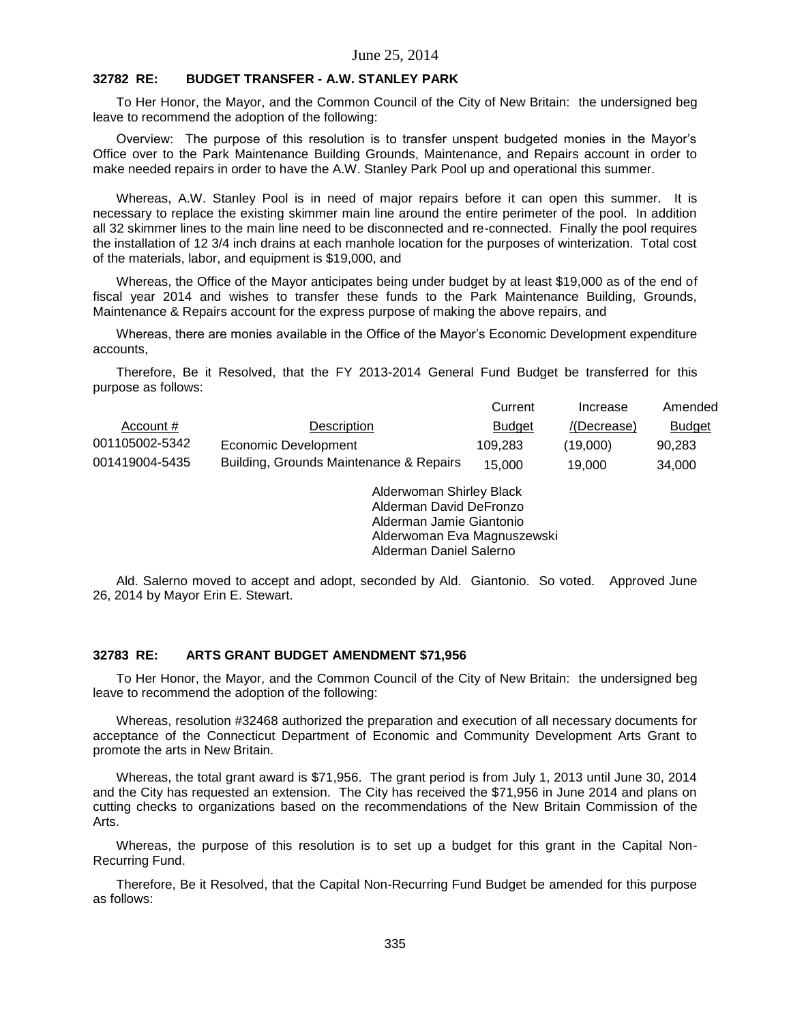# **32782 RE: BUDGET TRANSFER - A.W. STANLEY PARK**

To Her Honor, the Mayor, and the Common Council of the City of New Britain: the undersigned beg leave to recommend the adoption of the following:

Overview: The purpose of this resolution is to transfer unspent budgeted monies in the Mayor's Office over to the Park Maintenance Building Grounds, Maintenance, and Repairs account in order to make needed repairs in order to have the A.W. Stanley Park Pool up and operational this summer.

Whereas, A.W. Stanley Pool is in need of major repairs before it can open this summer. It is necessary to replace the existing skimmer main line around the entire perimeter of the pool. In addition all 32 skimmer lines to the main line need to be disconnected and re-connected. Finally the pool requires the installation of 12 3/4 inch drains at each manhole location for the purposes of winterization. Total cost of the materials, labor, and equipment is \$19,000, and

Whereas, the Office of the Mayor anticipates being under budget by at least \$19,000 as of the end of fiscal year 2014 and wishes to transfer these funds to the Park Maintenance Building, Grounds, Maintenance & Repairs account for the express purpose of making the above repairs, and

Whereas, there are monies available in the Office of the Mayor's Economic Development expenditure accounts,

Therefore, Be it Resolved, that the FY 2013-2014 General Fund Budget be transferred for this purpose as follows:

|                |                                         | Current       | Increase    | Amended       |
|----------------|-----------------------------------------|---------------|-------------|---------------|
| Account #      | Description                             | <b>Budget</b> | /(Decrease) | <b>Budget</b> |
| 001105002-5342 | Economic Development                    | 109.283       | (19.000)    | 90.283        |
| 001419004-5435 | Building, Grounds Maintenance & Repairs | 15.000        | 19.000      | 34.000        |

Alderwoman Shirley Black Alderman David DeFronzo Alderman Jamie Giantonio Alderwoman Eva Magnuszewski Alderman Daniel Salerno

Ald. Salerno moved to accept and adopt, seconded by Ald. Giantonio. So voted. Approved June 26, 2014 by Mayor Erin E. Stewart.

#### **32783 RE: ARTS GRANT BUDGET AMENDMENT \$71,956**

To Her Honor, the Mayor, and the Common Council of the City of New Britain: the undersigned beg leave to recommend the adoption of the following:

Whereas, resolution #32468 authorized the preparation and execution of all necessary documents for acceptance of the Connecticut Department of Economic and Community Development Arts Grant to promote the arts in New Britain.

Whereas, the total grant award is \$71,956. The grant period is from July 1, 2013 until June 30, 2014 and the City has requested an extension. The City has received the \$71,956 in June 2014 and plans on cutting checks to organizations based on the recommendations of the New Britain Commission of the Arts.

Whereas, the purpose of this resolution is to set up a budget for this grant in the Capital Non-Recurring Fund.

Therefore, Be it Resolved, that the Capital Non-Recurring Fund Budget be amended for this purpose as follows: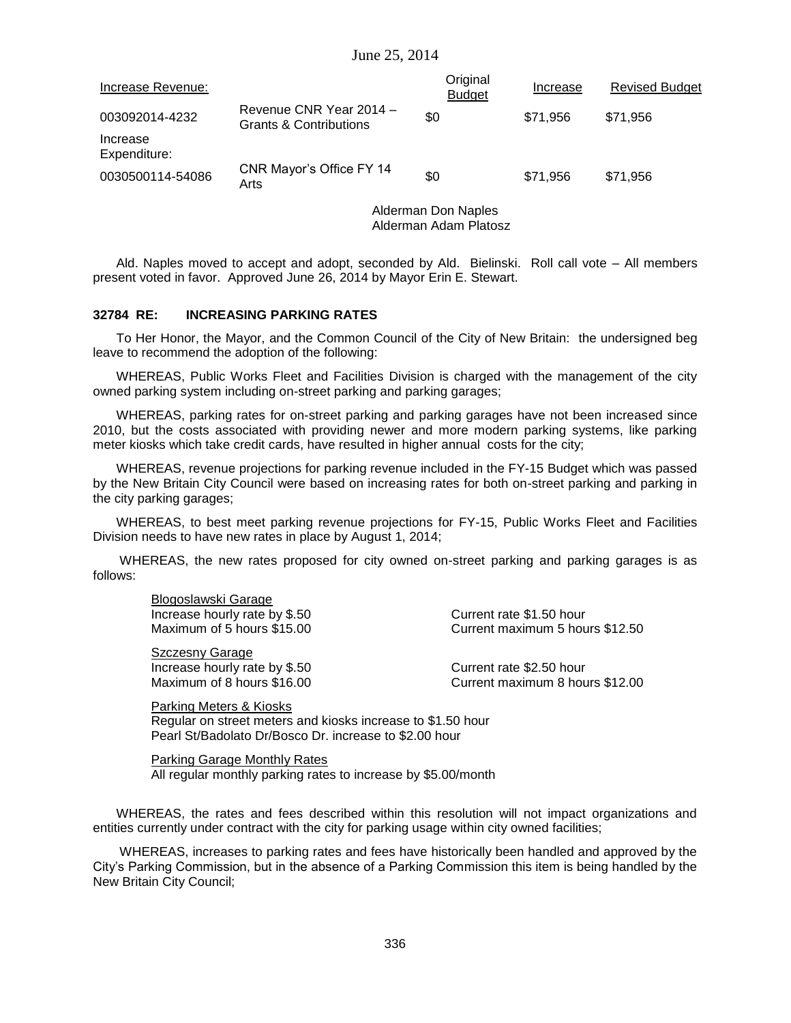| Increase Revenue:        |                                                              | Original<br><b>Budget</b> | Increase | <b>Revised Budget</b> |
|--------------------------|--------------------------------------------------------------|---------------------------|----------|-----------------------|
| 003092014-4232           | Revenue CNR Year 2014 -<br><b>Grants &amp; Contributions</b> | \$0                       | \$71.956 | \$71.956              |
| Increase<br>Expenditure: |                                                              |                           |          |                       |
| 0030500114-54086         | CNR Mayor's Office FY 14<br>Arts                             | \$0                       | \$71.956 | \$71.956              |

Alderman Don Naples Alderman Adam Platosz

Ald. Naples moved to accept and adopt, seconded by Ald. Bielinski. Roll call vote – All members present voted in favor. Approved June 26, 2014 by Mayor Erin E. Stewart.

### **32784 RE: INCREASING PARKING RATES**

To Her Honor, the Mayor, and the Common Council of the City of New Britain: the undersigned beg leave to recommend the adoption of the following:

WHEREAS, Public Works Fleet and Facilities Division is charged with the management of the city owned parking system including on-street parking and parking garages;

WHEREAS, parking rates for on-street parking and parking garages have not been increased since 2010, but the costs associated with providing newer and more modern parking systems, like parking meter kiosks which take credit cards, have resulted in higher annual costs for the city;

WHEREAS, revenue projections for parking revenue included in the FY-15 Budget which was passed by the New Britain City Council were based on increasing rates for both on-street parking and parking in the city parking garages;

WHEREAS, to best meet parking revenue projections for FY-15, Public Works Fleet and Facilities Division needs to have new rates in place by August 1, 2014;

WHEREAS, the new rates proposed for city owned on-street parking and parking garages is as follows:

Blogoslawski Garage Increase hourly rate by \$.50 Current rate \$1.50 hour

Szczesny Garage Increase hourly rate by \$.50 Current rate \$2.50 hour

Maximum of 5 hours \$15.00 Current maximum 5 hours \$12.50

Maximum of 8 hours \$16.00 Current maximum 8 hours \$12.00

Parking Meters & Kiosks Regular on street meters and kiosks increase to \$1.50 hour Pearl St/Badolato Dr/Bosco Dr. increase to \$2.00 hour

Parking Garage Monthly Rates All regular monthly parking rates to increase by \$5.00/month

WHEREAS, the rates and fees described within this resolution will not impact organizations and entities currently under contract with the city for parking usage within city owned facilities;

WHEREAS, increases to parking rates and fees have historically been handled and approved by the City's Parking Commission, but in the absence of a Parking Commission this item is being handled by the New Britain City Council;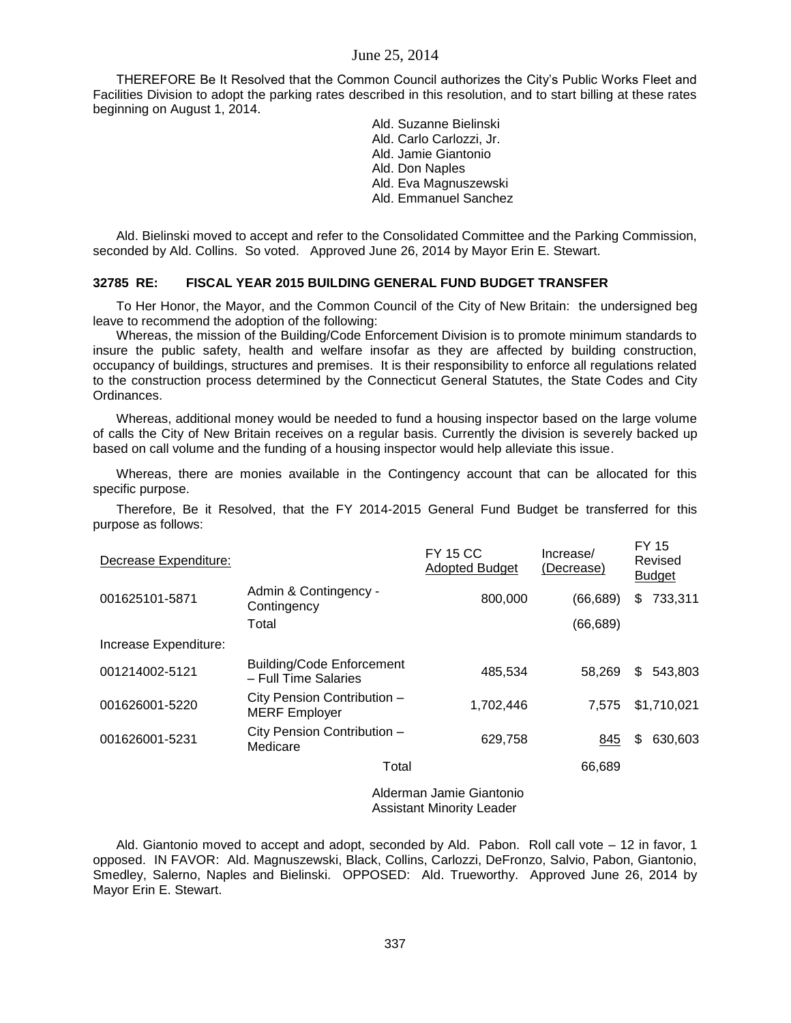THEREFORE Be It Resolved that the Common Council authorizes the City's Public Works Fleet and Facilities Division to adopt the parking rates described in this resolution, and to start billing at these rates beginning on August 1, 2014.

> Ald. Suzanne Bielinski Ald. Carlo Carlozzi, Jr. Ald. Jamie Giantonio Ald. Don Naples Ald. Eva Magnuszewski Ald. Emmanuel Sanchez

Ald. Bielinski moved to accept and refer to the Consolidated Committee and the Parking Commission, seconded by Ald. Collins. So voted. Approved June 26, 2014 by Mayor Erin E. Stewart.

#### **32785 RE: FISCAL YEAR 2015 BUILDING GENERAL FUND BUDGET TRANSFER**

To Her Honor, the Mayor, and the Common Council of the City of New Britain: the undersigned beg leave to recommend the adoption of the following:

Whereas, the mission of the Building/Code Enforcement Division is to promote minimum standards to insure the public safety, health and welfare insofar as they are affected by building construction, occupancy of buildings, structures and premises. It is their responsibility to enforce all regulations related to the construction process determined by the Connecticut General Statutes, the State Codes and City Ordinances.

Whereas, additional money would be needed to fund a housing inspector based on the large volume of calls the City of New Britain receives on a regular basis. Currently the division is severely backed up based on call volume and the funding of a housing inspector would help alleviate this issue.

Whereas, there are monies available in the Contingency account that can be allocated for this specific purpose.

Therefore, Be it Resolved, that the FY 2014-2015 General Fund Budget be transferred for this purpose as follows:

| Decrease Expenditure:    |                                                          | <b>FY 15 CC</b><br><b>Adopted Budget</b> | Increase/<br>(Decrease) | <b>FY 15</b><br>Revised<br><b>Budget</b> |
|--------------------------|----------------------------------------------------------|------------------------------------------|-------------------------|------------------------------------------|
| 001625101-5871           | Admin & Contingency -<br>Contingency                     | 800,000                                  | (66, 689)               | 733,311<br>\$.                           |
|                          | Total                                                    |                                          | (66, 689)               |                                          |
| Increase Expenditure:    |                                                          |                                          |                         |                                          |
| 001214002-5121           | <b>Building/Code Enforcement</b><br>- Full Time Salaries | 485,534                                  | 58.269                  | 543,803<br>\$.                           |
| 001626001-5220           | City Pension Contribution -<br><b>MERF</b> Employer      | 1,702,446                                | 7.575                   | \$1,710,021                              |
| 001626001-5231           | City Pension Contribution -<br>Medicare                  | 629,758                                  | 845                     | 630,603<br>\$                            |
|                          | Total                                                    |                                          | 66,689                  |                                          |
| Alderman Jamie Giantonio |                                                          |                                          |                         |                                          |

Assistant Minority Leader

Ald. Giantonio moved to accept and adopt, seconded by Ald. Pabon. Roll call vote – 12 in favor, 1 opposed. IN FAVOR: Ald. Magnuszewski, Black, Collins, Carlozzi, DeFronzo, Salvio, Pabon, Giantonio, Smedley, Salerno, Naples and Bielinski. OPPOSED: Ald. Trueworthy. Approved June 26, 2014 by Mayor Erin E. Stewart.